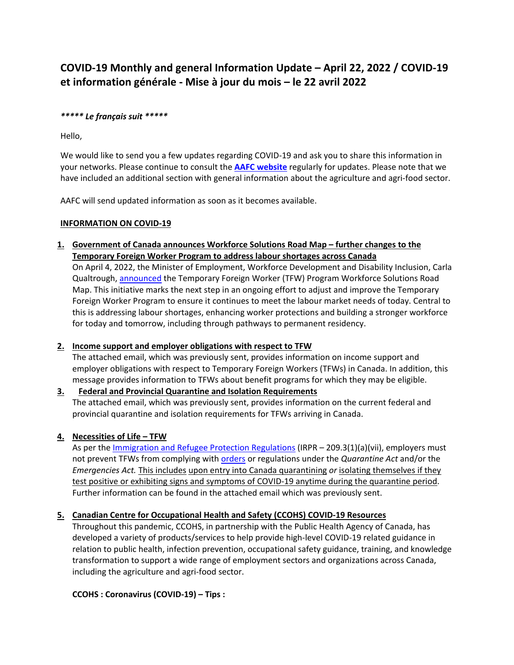# **COVID-19 Monthly and general Information Update – April 22, 2022 / COVID-19 et information générale - Mise à jour du mois – le 22 avril 2022**

#### *\*\*\*\*\* Le français suit \*\*\*\*\**

Hello,

We would like to send you a few updates regarding COVID-19 and ask you to share this information in your networks. Please continue to consult the **[AAFC website](https://www.canada.ca/fr/sante-publique/services/immunisation/comite-consultatif-national-immunisation-ccni/recommendation-actualisee-utilisation-vaccins-covid-19-chez-enfants-ages-5-11-ans/modification-25-janvier-2022.html)** regularly for updates. Please note that we have included an additional section with general information about the agriculture and agri-food sector.

AAFC will send updated information as soon as it becomes available.

#### **INFORMATION ON COVID-19**

**1. Government of Canada announces Workforce Solutions Road Map – further changes to the Temporary Foreign Worker Program to address labour shortages across Canada**

On April 4, 2022, the Minister of Employment, Workforce Development and Disability Inclusion, Carla Qualtrough, [announced](https://www.canada.ca/en/employment-social-development/news/2022/04/government-of-canada-announces-workforce-solutions-road-map--further-changes-to-the-temporary-foreign-worker-program-to-address-labour-shortages-ac.html) the Temporary Foreign Worker (TFW) Program Workforce Solutions Road Map. This initiative marks the next step in an ongoing effort to adjust and improve the Temporary Foreign Worker Program to ensure it continues to meet the labour market needs of today. Central to this is addressing labour shortages, enhancing worker protections and building a stronger workforce for today and tomorrow, including through pathways to permanent residency.

## **2. Income support and employer obligations with respect to TFW**

The attached email, which was previously sent, provides information on income support and employer obligations with respect to Temporary Foreign Workers (TFWs) in Canada. In addition, this message provides information to TFWs about benefit programs for which they may be eligible.

## **3. Federal and Provincial Quarantine and Isolation Requirements**

The attached email, which was previously sent, provides information on the current federal and provincial quarantine and isolation requirements for TFWs arriving in Canada.

## **4. Necessities of Life – TFW**

As per the [Immigration and Refugee Protection Regulations](https://laws-lois.justice.gc.ca/eng/regulations/SOR-2002-227/section-209.3.html) (IRPR - 209.3(1)(a)(vii), employers must not prevent TFWs from complying wit[h orders](https://orders-in-council.canada.ca/attachment.php?attach=41803&lang=en) or regulations under the *Quarantine Act* and/or the *Emergencies Act.* This includes upon entry into Canada quarantining *or* isolating themselves if they test positive or exhibiting signs and symptoms of COVID-19 anytime during the quarantine period. Further information can be found in the attached email which was previously sent.

## **5. Canadian Centre for Occupational Health and Safety (CCOHS) COVID-19 Resources**

Throughout this pandemic, CCOHS, in partnership with the Public Health Agency of Canada, has developed a variety of products/services to help provide high-level COVID-19 related guidance in relation to public health, infection prevention, occupational safety guidance, training, and knowledge transformation to support a wide range of employment sectors and organizations across Canada, including the agriculture and agri-food sector.

## **CCOHS : Coronavirus (COVID-19) – Tips :**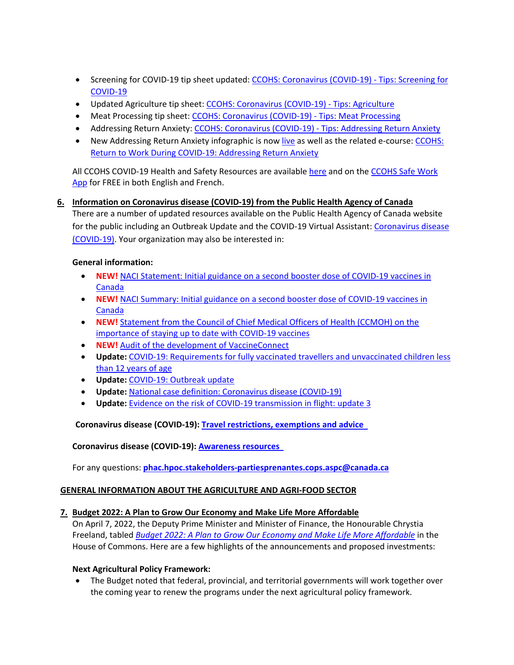- Screening for COVID-19 tip sheet updated: [CCOHS: Coronavirus \(COVID-19\) -](https://www.ccohs.ca/covid19/screening/) Tips: Screening for [COVID-19](https://www.ccohs.ca/covid19/screening/)
- Updated Agriculture tip sheet: [CCOHS: Coronavirus \(COVID-19\) -](https://www.ccohs.ca/covid19/agriculture/) Tips: Agriculture
- Meat Processing tip sheet: [CCOHS: Coronavirus \(COVID-19\) -](https://www.ccohs.ca/covid19/meat-processing/) Tips: Meat Processing
- Addressing Return Anxiety: [CCOHS: Coronavirus \(COVID-19\) -](https://www.ccohs.ca/covid19/reducing-return-anxiety/) Tips: Addressing Return Anxiety
- New Addressing Return Anxiety infographic is now [live](https://www.ccohs.ca/covid19/return-anxiety-infographic/) as well as the related e-course: [CCOHS:](https://www.ccohs.ca/products/courses/rtw-anxiety/) [Return to Work During COVID-19: Addressing Return Anxiety](https://www.ccohs.ca/products/courses/rtw-anxiety/)

All CCOHS COVID-19 Health and Safety Resources are available [here](https://www.ccohs.ca/products/publications/covid19-tool-kit/) and on the [CCOHS Safe Work](https://www.ccohs.ca/products/safework-app/)  [App](https://www.ccohs.ca/products/safework-app/) for FREE in both English and French.

## **6. Information on Coronavirus disease (COVID-19) from the Public Health Agency of Canada**  There are a number of updated resources available on the Public Health Agency of Canada website for the public including an Outbreak Update and the COVID-19 Virtual Assistant: [Coronavirus disease](https://www.canada.ca/en/public-health/services/diseases/2019-novel-coronavirus-infection.html)

[\(COVID-19\).](https://www.canada.ca/en/public-health/services/diseases/2019-novel-coronavirus-infection.html) Your organization may also be interested in:

## **General information:**

- **NEW!** NACI Statement: Initial guidance on a second booster dose of COVID-19 vaccines in [Canada](https://www.canada.ca/content/dam/phac-aspc/documents/services/immunization/national-advisory-committee-on-immunization-naci/naci-guidance-second-booster-dose-covid-19-vaccines.pdf?utm_source=stakeholder-weekly-newsletter&utm_medium=link&utm_content=en-04-11-22&utm_campaign=srt-stakeholder-weekly-newsletter)
- **NEW!** [NACI Summary: Initial guidance on a second booster dose of COVID-19 vaccines in](https://www.canada.ca/content/dam/phac-aspc/documents/services/immunization/national-advisory-committee-on-immunization-naci/naci-summary-april-5-2022.pdf?utm_source=stakeholder-weekly-newsletter&utm_medium=link&utm_content=en-04-11-22&utm_campaign=srt-stakeholder-weekly-newsletter)  [Canada](https://www.canada.ca/content/dam/phac-aspc/documents/services/immunization/national-advisory-committee-on-immunization-naci/naci-summary-april-5-2022.pdf?utm_source=stakeholder-weekly-newsletter&utm_medium=link&utm_content=en-04-11-22&utm_campaign=srt-stakeholder-weekly-newsletter)
- **NEW!** [Statement from the Council of Chief Medical Officers of Health \(CCMOH\) on the](https://www.canada.ca/en/public-health/news/2022/04/statement-from-the-council-of-chief-medical-officers-of-health-ccmoh-on-the-importance-of-staying-up-to-date-with-covid-19-vaccines.html?utm_source=stakeholder-weekly-newsletter&utm_medium=link&utm_content=en-04-11-22&utm_campaign=srt-stakeholder-weekly-newsletter)  [importance of staying up to date with COVID-19 vaccines](https://www.canada.ca/en/public-health/news/2022/04/statement-from-the-council-of-chief-medical-officers-of-health-ccmoh-on-the-importance-of-staying-up-to-date-with-covid-19-vaccines.html?utm_source=stakeholder-weekly-newsletter&utm_medium=link&utm_content=en-04-11-22&utm_campaign=srt-stakeholder-weekly-newsletter)
- **NEW!** [Audit of the development of VaccineConnect](https://www.canada.ca/en/public-health/corporate/transparency/corporate-management-reporting/internal-audits/reports/development-vaccineconnect.html?utm_source=stakeholder-weekly-newsletter&utm_medium=link&utm_content=en-04-11-22&utm_campaign=srt-stakeholder-weekly-newsletter)
- **Update:** [COVID-19: Requirements for fully vaccinated travellers and unvaccinated children less](https://www.canada.ca/en/public-health/services/publications/diseases-conditions/fully-vaccinated-travellers-without-covid-19-symptoms-returning-canada.html?utm_source=stakeholder-weekly-newsletter&utm_medium=link&utm_content=en-04-11-22&utm_campaign=srt-stakeholder-weekly-newsletter)  [than 12 years of age](https://www.canada.ca/en/public-health/services/publications/diseases-conditions/fully-vaccinated-travellers-without-covid-19-symptoms-returning-canada.html?utm_source=stakeholder-weekly-newsletter&utm_medium=link&utm_content=en-04-11-22&utm_campaign=srt-stakeholder-weekly-newsletter)
- **Update:** [COVID-19: Outbreak update](https://www.canada.ca/en/public-health/services/diseases/2019-novel-coronavirus-infection.html?utm_source=stakeholder-weekly-newsletter&utm_medium=link&utm_content=en-04-11-22&utm_campaign=srt-stakeholder-weekly-newsletter)
- **Update:** [National case definition: Coronavirus disease \(COVID-19\)](https://www.canada.ca/en/public-health/services/diseases/2019-novel-coronavirus-infection/health-professionals/national-case-definition.html?utm_source=stakeholder-weekly-newsletter&utm_medium=link&utm_content=en-04-11-22&utm_campaign=srt-stakeholder-weekly-newsletter)
- **Update:** [Evidence on the risk of COVID-19 transmission in flight: update 3](https://www.canada.ca/en/public-health/services/diseases/2019-novel-coronavirus-infection/canadas-reponse/summaries-recent-evidence/evidence-risk-covid-19-transmission-flight-update-3.html?utm_source=stakeholder-weekly-newsletter&utm_medium=link&utm_content=en-04-11-22&utm_campaign=srt-stakeholder-weekly-newsletter)

## **Coronavirus disease (COVID-19): Travel [restrictions,](https://travel.gc.ca/travel-covid?utm_source=stakeholder-weekly-newsletter&utm_medium=link&utm_content=en-14-01-22&utm_campaign=srt-stakeholder-weekly-newsletter) exemptions and advice**

## **Coronavirus disease (COVID-19): [Awareness](https://www.canada.ca/en/public-health/services/diseases/2019-novel-coronavirus-infection/awareness-resources.html?utm_source=stakeholder-weekly-newsletter&utm_medium=link&utm_content=en-14-01-22&utm_campaign=srt-stakeholder-weekly-newsletter) resources**

For any questions: **[phac.hpoc.stakeholders-partiesprenantes.cops.aspc@canada.ca](mailto:phac.hpoc.stakeholders-partiesprenantes.cops.aspc@canada.ca)**

## **GENERAL INFORMATION ABOUT THE AGRICULTURE AND AGRI-FOOD SECTOR**

## **7. Budget 2022: A Plan to Grow Our Economy and Make Life More Affordable**

On April 7, 2022, the Deputy Prime Minister and Minister of Finance, the Honourable Chrystia Freeland, tabled *[Budget 2022: A Plan to Grow Our Economy and Make Life More Affordable](https://budget.gc.ca/2022/home-accueil-en.html)* in the House of Commons. Here are a few highlights of the announcements and proposed investments:

#### **Next Agricultural Policy Framework:**

• The Budget noted that federal, provincial, and territorial governments will work together over the coming year to renew the programs under the next agricultural policy framework.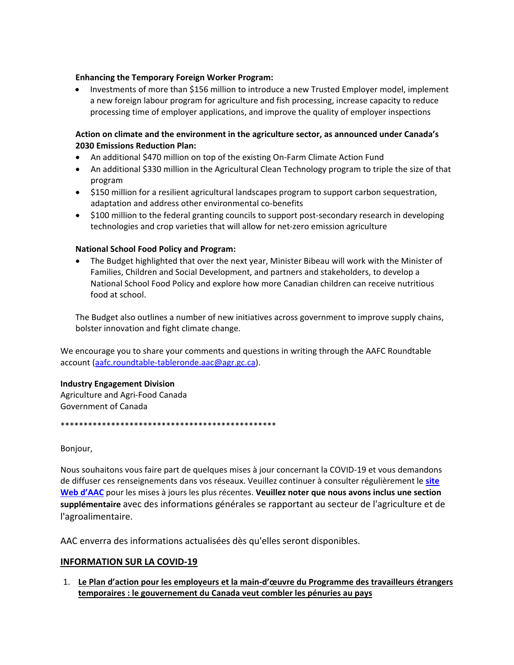#### **Enhancing the Temporary Foreign Worker Program:**

• Investments of more than \$156 million to introduce a new Trusted Employer model, implement a new foreign labour program for agriculture and fish processing, increase capacity to reduce processing time of employer applications, and improve the quality of employer inspections

#### **Action on climate and the environment in the agriculture sector, as announced under Canada's 2030 Emissions Reduction Plan:**

- An additional \$470 million on top of the existing On-Farm Climate Action Fund
- An additional \$330 million in the Agricultural Clean Technology program to triple the size of that program
- \$150 million for a resilient agricultural landscapes program to support carbon sequestration, adaptation and address other environmental co-benefits
- \$100 million to the federal granting councils to support post-secondary research in developing technologies and crop varieties that will allow for net-zero emission agriculture

#### **National School Food Policy and Program:**

• The Budget highlighted that over the next year, Minister Bibeau will work with the Minister of Families, Children and Social Development, and partners and stakeholders, to develop a National School Food Policy and explore how more Canadian children can receive nutritious food at school.

The Budget also outlines a number of new initiatives across government to improve supply chains, bolster innovation and fight climate change.

We encourage you to share your comments and questions in writing through the AAFC Roundtable account [\(aafc.roundtable-tableronde.aac@agr.gc.ca\)](mailto:aafc.roundtable-tableronde.aac@agr.gc.ca).

#### **Industry Engagement Division**

Agriculture and Agri-Food Canada Government of Canada

\*\*\*\*\*\*\*\*\*\*\*\*\*\*\*\*\*\*\*\*\*\*\*\*\*\*\*\*\*\*\*\*\*\*\*\*\*\*\*\*\*\*\*\*\*\*\*

Bonjour,

Nous souhaitons vous faire part de quelques mises à jour concernant la COVID-19 et vous demandons de diffuser ces renseignements dans vos réseaux. Veuillez continuer à consulter régulièrement le **[site](https://agriculture.canada.ca/fr/covid-19-renseignements-secteur-lagriculture-lagroalimentaire)  [Web d'AAC](https://agriculture.canada.ca/fr/covid-19-renseignements-secteur-lagriculture-lagroalimentaire)** pour les mises à jours les plus récentes. **Veuillez noter que nous avons inclus une section supplémentaire** avec des informations générales se rapportant au secteur de l'agriculture et de l'agroalimentaire.

AAC enverra des informations actualisées dès qu'elles seront disponibles.

## **INFORMATION SUR LA COVID-19**

1. **Le Plan d'action pour les employeurs et la main-d'œuvre du Programme des travailleurs étrangers temporaires : le gouvernement du Canada veut combler les pénuries au pays**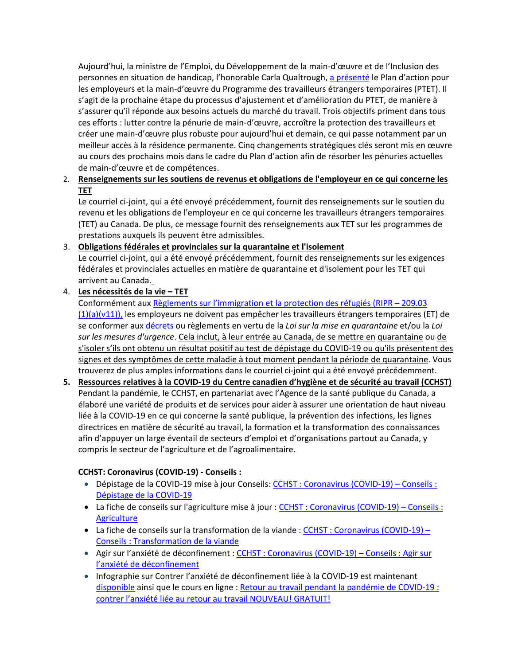Aujourd'hui, la ministre de l'Emploi, du Développement de la main-d'œuvre et de l'Inclusion des personnes en situation de handicap, l'honorable Carla Qualtrough, [a présenté](https://www.canada.ca/fr/emploi-developpement-social/nouvelles/2022/04/xxx.html) le Plan d'action pour les employeurs et la main-d'œuvre du Programme des travailleurs étrangers temporaires (PTET). Il s'agit de la prochaine étape du processus d'ajustement et d'amélioration du PTET, de manière à s'assurer qu'il réponde aux besoins actuels du marché du travail. Trois objectifs priment dans tous ces efforts : lutter contre la pénurie de main-d'œuvre, accroître la protection des travailleurs et créer une main-d'œuvre plus robuste pour aujourd'hui et demain, ce qui passe notamment par un meilleur accès à la résidence permanente. Cinq changements stratégiques clés seront mis en œuvre au cours des prochains mois dans le cadre du Plan d'action afin de résorber les pénuries actuelles de main-d'œuvre et de compétences.

## 2. **Renseignements sur les soutiens de revenus et obligations de l'employeur en ce qui concerne les TET**

Le courriel ci-joint, qui a été envoyé précédemment, fournit des renseignements sur le soutien du revenu et les obligations de l'employeur en ce qui concerne les travailleurs étrangers temporaires (TET) au Canada. De plus, ce message fournit des renseignements aux TET sur les programmes de prestations auxquels ils peuvent être admissibles.

## 3. **Obligations fédérales et provinciales sur la quarantaine et l'isolement**

Le courriel ci-joint, qui a été envoyé précédemment, fournit des renseignements sur les exigences fédérales et provinciales actuelles en matière de quarantaine et d'isolement pour les TET qui arrivent au Canada.

## 4. **Les nécessités de la vie – TET**

Conformément au[x Règlements sur l'immigration et la protection des réfugiés \(RIPR –](https://laws-lois.justice.gc.ca/fra/reglements/DORS-2002-227/section-209.3.html) 209.03  $(1)(a)(v11)$ , les employeurs ne doivent pas empêcher les travailleurs étrangers temporaires (ET) de se conformer au[x décrets](https://decrets.canada.ca/attachment.php?attach=41803&lang=fr) ou règlements en vertu de la *Loi sur la mise en quarantaine* et/ou la *Loi sur les mesures d'urgence*. Cela inclut, à leur entrée au Canada, de se mettre en quarantaine ou de s'isoler s'ils ont obtenu un résultat positif au test de dépistage du COVID-19 ou qu'ils présentent des signes et des symptômes de cette maladie à tout moment pendant la période de quarantaine. Vous trouverez de plus amples informations dans le courriel ci-joint qui a été envoyé précédemment.

**5. Ressources relatives à la COVID-19 du Centre canadien d'hygiène et de sécurité au travail (CCHST)** Pendant la pandémie, le CCHST, en partenariat avec l'Agence de la santé publique du Canada, a élaboré une variété de produits et de services pour aider à assurer une orientation de haut niveau liée à la COVID-19 en ce qui concerne la santé publique, la prévention des infections, les lignes directrices en matière de sécurité au travail, la formation et la transformation des connaissances afin d'appuyer un large éventail de secteurs d'emploi et d'organisations partout au Canada, y compris le secteur de l'agriculture et de l'agroalimentaire.

## **CCHST: Coronavirus (COVID-19) - Conseils :**

- Dépistage de la COVID-19 mise à jour Conseils: CCHST [: Coronavirus \(COVID-19\) –](https://www.cchst.ca/covid19/screening/index.html) Conseils : [Dépistage de la COVID-19](https://www.cchst.ca/covid19/screening/index.html)
- La fiche de conseils sur l'agriculture mise à jour : [CCHST : Coronavirus \(COVID-19\) –](https://www.cchst.ca/covid19/agriculture/index.html) Conseils : **[Agriculture](https://www.cchst.ca/covid19/agriculture/index.html)**
- La fiche de conseils sur la transformation de la viande : [CCHST : Coronavirus \(COVID-19\) –](https://www.cchst.ca/covid19/meat-processing/index.html) [Conseils : Transformation de la viande](https://www.cchst.ca/covid19/meat-processing/index.html)
- Agir sur l'anxiété de déconfinement : CCHST [: Coronavirus \(COVID-19\) –](https://www.cchst.ca/covid19/reducing-return-anxiety/index.html) Conseils : Agir sur [l'anxiété de déconfinement](https://www.cchst.ca/covid19/reducing-return-anxiety/index.html)
- Infographie sur Contrer l'anxiété de déconfinement liée à la COVID-19 est maintenant [disponible](https://www.cchst.ca/covid19/return-anxiety-infographic/index.html) ainsi que le cours en ligne : [Retour au travail pendant la pandémie de COVID-19 :](https://www.cchst.ca/products/courses/rtw-anxiety/)  [contrer l'anxiété liée au retour au travail NOUVEAU! GRATUIT!](https://www.cchst.ca/products/courses/rtw-anxiety/)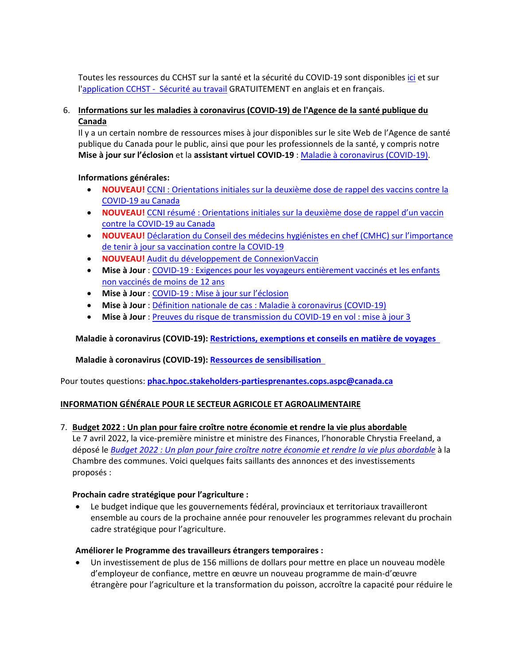Toutes les ressources du CCHST sur la santé et la sécurité du COVID-19 sont disponible[s ici](https://www.cchst.ca/products/publications/covid19-tool-kit/) et sur l['application CCHST -](https://www.cchst.ca/products/safework-app/) Sécurité au travail GRATUITEMENT en anglais et en français.

## 6. **Informations sur les maladies à coronavirus (COVID-19) de l'Agence de la santé publique du Canada**

Il y a un certain nombre de ressources mises à jour disponibles sur le site Web de l'Agence de santé publique du Canada pour le public, ainsi que pour les professionnels de la santé, y compris notre **Mise à jour sur l'éclosion** et la **assistant virtuel COVID-19** : [Maladie à coronavirus \(COVID-19\).](https://www.canada.ca/fr/sante-publique/services/maladies/2019-nouveau-coronavirus.html)

## **Informations générales:**

- **NOUVEAU!** CCNI [: Orientations initiales sur la deuxième dose de rappel des vaccins contre la](https://www.canada.ca/content/dam/phac-aspc/documents/services/immunization/national-advisory-committee-on-immunization-naci/ccni-orientations-deuxieme-dose-rappel-vaccins-contre-covid-19.pdf?utm_source=stakeholder-weekly-newsletter&utm_medium=link&utm_content=fr-04-11-22&utm_campaign=srt-stakeholder-weekly-newsletter)  [COVID-19 au Canada](https://www.canada.ca/content/dam/phac-aspc/documents/services/immunization/national-advisory-committee-on-immunization-naci/ccni-orientations-deuxieme-dose-rappel-vaccins-contre-covid-19.pdf?utm_source=stakeholder-weekly-newsletter&utm_medium=link&utm_content=fr-04-11-22&utm_campaign=srt-stakeholder-weekly-newsletter)
- **NOUVEAU!** CCNI résumé [: Orientations initiales sur la deuxième dose de rappel d'un vaccin](https://www.canada.ca/content/dam/phac-aspc/documents/services/immunization/national-advisory-committee-on-immunization-naci/ccni-resume-5-avril-2022.pdf?utm_source=stakeholder-weekly-newsletter&utm_medium=link&utm_content=fr-04-11-22&utm_campaign=srt-stakeholder-weekly-newsletter)  [contre la COVID-19 au Canada](https://www.canada.ca/content/dam/phac-aspc/documents/services/immunization/national-advisory-committee-on-immunization-naci/ccni-resume-5-avril-2022.pdf?utm_source=stakeholder-weekly-newsletter&utm_medium=link&utm_content=fr-04-11-22&utm_campaign=srt-stakeholder-weekly-newsletter)
- **NOUVEAU!** Déclaration du Conseil des médecins hygiénistes en chef (CMHC) sur [l'importance](https://www.canada.ca/fr/sante-publique/nouvelles/2022/04/declaration-du-conseil-des-medecins-hygienistes-en-chef-cmhc-sur-limportance-de-tenir-a-jour-sa-vaccination-contre-la-covid-19.html?utm_source=stakeholder-weekly-newsletter&utm_medium=link&utm_content=fr-04-11-22&utm_campaign=srt-stakeholder-weekly-newsletter) de tenir à jour sa [vaccination](https://www.canada.ca/fr/sante-publique/nouvelles/2022/04/declaration-du-conseil-des-medecins-hygienistes-en-chef-cmhc-sur-limportance-de-tenir-a-jour-sa-vaccination-contre-la-covid-19.html?utm_source=stakeholder-weekly-newsletter&utm_medium=link&utm_content=fr-04-11-22&utm_campaign=srt-stakeholder-weekly-newsletter) contre la COVID-19
- **NOUVEAU!** Audit du développement de [ConnexionVaccin](https://www.canada.ca/fr/sante-publique/organisation/transparence/rapports-gestion/verifications-internes/rapports/developpement-connexionvaccin.html?utm_source=stakeholder-weekly-newsletter&utm_medium=link&utm_content=fr-04-11-22&utm_campaign=srt-stakeholder-weekly-newsletter)
- **Mise à Jour** : COVID-19 : Exigences pour les voyageurs [entièrement](https://www.canada.ca/fr/sante-publique/services/publications/maladies-et-affections/voyageurs-entierement-vaccines-ne-presentant-pas-symptomes-covid-19-retournant-canada.html?utm_source=stakeholder-weekly-newsletter&utm_medium=link&utm_content=fr-04-11-22&utm_campaign=srt-stakeholder-weekly-newsletter) vaccinés et les enfants non [vaccinés](https://www.canada.ca/fr/sante-publique/services/publications/maladies-et-affections/voyageurs-entierement-vaccines-ne-presentant-pas-symptomes-covid-19-retournant-canada.html?utm_source=stakeholder-weekly-newsletter&utm_medium=link&utm_content=fr-04-11-22&utm_campaign=srt-stakeholder-weekly-newsletter) de moins de 12 ans
- **Mise à Jour** : [COVID-19](https://www.canada.ca/fr/sante-publique/services/maladies/2019-nouveau-coronavirus.html?utm_source=stakeholder-weekly-newsletter&utm_medium=link&utm_content=fr-04-11-22&utm_campaign=srt-stakeholder-weekly-newsletter) : Mise à jour sur l'éclosion
- **Mise à Jour** : Définition nationale de cas : Maladie à [coronavirus](https://www.canada.ca/fr/sante-publique/services/maladies/2019-nouveau-coronavirus/professionnels-sante/definition-nationale-cas.html?utm_source=stakeholder-weekly-newsletter&utm_medium=link&utm_content=fr-04-11-22&utm_campaign=srt-stakeholder-weekly-newsletter) (COVID-19)
- **Mise à Jour** : Preuves du risque de [transmission](https://www.canada.ca/fr/sante-publique/services/maladies/2019-nouveau-coronavirus/reponse-canada/resumes-donnees-probantes-recentes/preuves-risque-transmission-covid-19-vol-mise-jour-3.html?utm_source=stakeholder-weekly-newsletter&utm_medium=link&utm_content=fr-04-11-22&utm_campaign=srt-stakeholder-weekly-newsletter) du COVID-19 en vol : mise à jour 3

## **Maladie à coronavirus (COVID-19): [Restrictions,](https://voyage.gc.ca/voyage-covid?_ga=2.87527896.135457299.1642397058-1127918666.1625080323&utm_source=stakeholder-weekly-newsletter&utm_medium=link&utm_content=fr-14-01-22&utm_campaign=srt-stakeholder-weekly-newsletter) exemptions et conseils en matière de voyages**

## **Maladie à coronavirus (COVID-19): Ressources de [sensibilisation](https://www.canada.ca/fr/sante-publique/services/maladies/2019-nouveau-coronavirus/ressources-sensibilisation.html?utm_source=stakeholder-weekly-newsletter&utm_medium=link&utm_content=fr-14-01-22&utm_campaign=srt-stakeholder-weekly-newsletter)**

Pour toutes questions: **[phac.hpoc.stakeholders-partiesprenantes.cops.aspc@canada.ca](https://www.cchst.ca/products/publications/covid19-employers/index.html)**

## **INFORMATION GÉNÉRALE POUR LE SECTEUR AGRICOLE ET AGROALIMENTAIRE**

## 7. **Budget 2022 : Un plan pour faire croître notre économie et rendre la vie plus abordable**

Le 7 avril 2022, la vice-première ministre et ministre des Finances, l'honorable Chrystia Freeland, a déposé le *Budget 2022 [: Un plan pour faire croître notre économie et rendre la vie plus abordable](https://budget.gc.ca/2022/home-accueil-fr.html)* à la Chambre des communes. Voici quelques faits saillants des annonces et des investissements proposés :

## **Prochain cadre stratégique pour l'agriculture :**

Le budget indique que les gouvernements fédéral, provinciaux et territoriaux travailleront ensemble au cours de la prochaine année pour renouveler les programmes relevant du prochain cadre stratégique pour l'agriculture.

## **Améliorer le Programme des travailleurs étrangers temporaires :**

• Un investissement de plus de 156 millions de dollars pour mettre en place un nouveau modèle d'employeur de confiance, mettre en œuvre un nouveau programme de main-d'œuvre étrangère pour l'agriculture et la transformation du poisson, accroître la capacité pour réduire le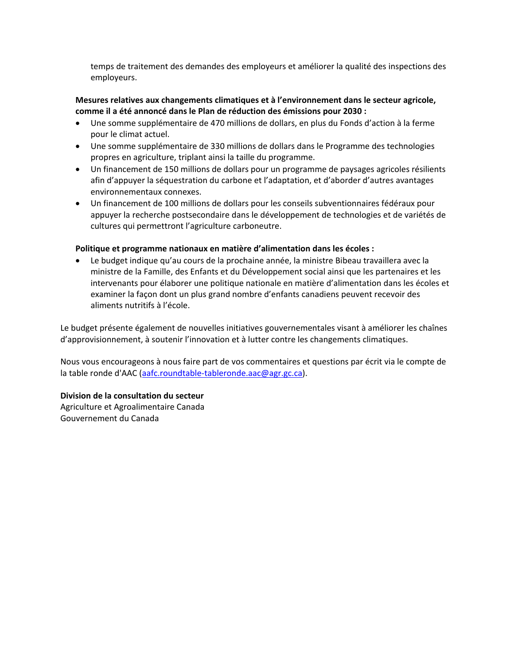temps de traitement des demandes des employeurs et améliorer la qualité des inspections des employeurs.

#### **Mesures relatives aux changements climatiques et à l'environnement dans le secteur agricole, comme il a été annoncé dans le Plan de réduction des émissions pour 2030 :**

- Une somme supplémentaire de 470 millions de dollars, en plus du Fonds d'action à la ferme pour le climat actuel.
- Une somme supplémentaire de 330 millions de dollars dans le Programme des technologies propres en agriculture, triplant ainsi la taille du programme.
- Un financement de 150 millions de dollars pour un programme de paysages agricoles résilients afin d'appuyer la séquestration du carbone et l'adaptation, et d'aborder d'autres avantages environnementaux connexes.
- Un financement de 100 millions de dollars pour les conseils subventionnaires fédéraux pour appuyer la recherche postsecondaire dans le développement de technologies et de variétés de cultures qui permettront l'agriculture carboneutre.

#### **Politique et programme nationaux en matière d'alimentation dans les écoles :**

• Le budget indique qu'au cours de la prochaine année, la ministre Bibeau travaillera avec la ministre de la Famille, des Enfants et du Développement social ainsi que les partenaires et les intervenants pour élaborer une politique nationale en matière d'alimentation dans les écoles et examiner la façon dont un plus grand nombre d'enfants canadiens peuvent recevoir des aliments nutritifs à l'école.

Le budget présente également de nouvelles initiatives gouvernementales visant à améliorer les chaînes d'approvisionnement, à soutenir l'innovation et à lutter contre les changements climatiques.

Nous vous encourageons à nous faire part de vos commentaires et questions par écrit via le compte de la table ronde d'AAC [\(aafc.roundtable-tableronde.aac@agr.gc.ca\)](mailto:aafc.roundtable-tableronde.aac@agr.gc.ca).

#### **Division de la consultation du secteur**

Agriculture et Agroalimentaire Canada Gouvernement du Canada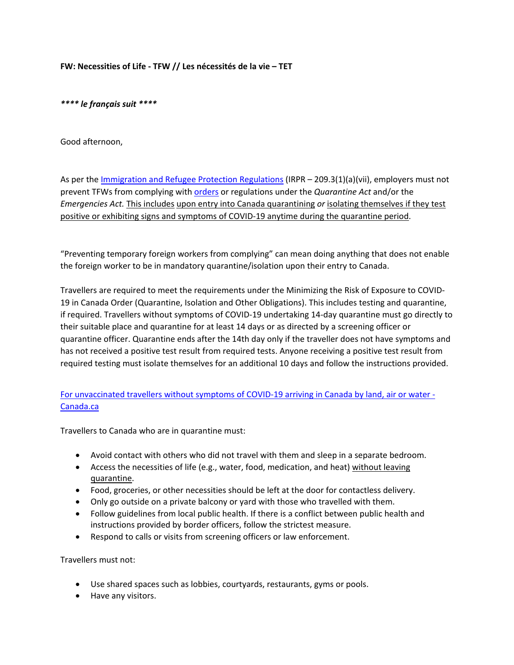**FW: Necessities of Life - TFW // Les nécessités de la vie – TET**

*\*\*\*\* le français suit \*\*\*\**

Good afternoon,

As per the [Immigration and Refugee Protection Regulations](https://laws-lois.justice.gc.ca/eng/regulations/SOR-2002-227/section-209.3.html) (IRPR - 209.3(1)(a)(vii), employers must not prevent TFWs from complying wit[h orders](https://orders-in-council.canada.ca/attachment.php?attach=41803&lang=en) or regulations under the *Quarantine Act* and/or the *Emergencies Act.* This includes upon entry into Canada quarantining *or* isolating themselves if they test positive or exhibiting signs and symptoms of COVID-19 anytime during the quarantine period.

"Preventing temporary foreign workers from complying" can mean doing anything that does not enable the foreign worker to be in mandatory quarantine/isolation upon their entry to Canada.

Travellers are required to meet the requirements under the Minimizing the Risk of Exposure to COVID-19 in Canada Order (Quarantine, Isolation and Other Obligations). This includes testing and quarantine, if required. Travellers without symptoms of COVID-19 undertaking 14-day quarantine must go directly to their suitable place and quarantine for at least 14 days or as directed by a screening officer or quarantine officer. Quarantine ends after the 14th day only if the traveller does not have symptoms and has not received a positive test result from required tests. Anyone receiving a positive test result from required testing must isolate themselves for an additional 10 days and follow the instructions provided.

## [For unvaccinated travellers without symptoms of COVID-19 arriving in Canada by land, air or water -](https://www.canada.ca/en/public-health/services/publications/diseases-conditions/2019-novel-coronavirus-information-sheet.html) [Canada.ca](https://www.canada.ca/en/public-health/services/publications/diseases-conditions/2019-novel-coronavirus-information-sheet.html)

Travellers to Canada who are in quarantine must:

- Avoid contact with others who did not travel with them and sleep in a separate bedroom.
- Access the necessities of life (e.g., water, food, medication, and heat) without leaving quarantine.
- Food, groceries, or other necessities should be left at the door for contactless delivery.
- Only go outside on a private balcony or yard with those who travelled with them.
- Follow guidelines from local public health. If there is a conflict between public health and instructions provided by border officers, follow the strictest measure.
- Respond to calls or visits from screening officers or law enforcement.

Travellers must not:

- Use shared spaces such as lobbies, courtyards, restaurants, gyms or pools.
- Have any visitors.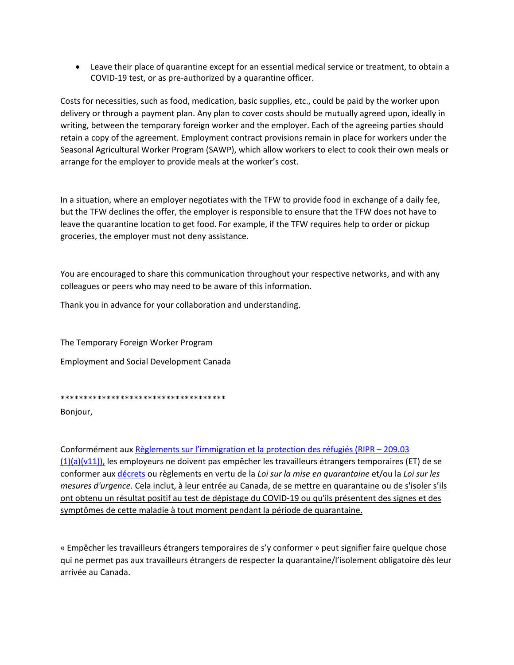• Leave their place of quarantine except for an essential medical service or treatment, to obtain a COVID-19 test, or as pre-authorized by a quarantine officer.

Costs for necessities, such as food, medication, basic supplies, etc., could be paid by the worker upon delivery or through a payment plan. Any plan to cover costs should be mutually agreed upon, ideally in writing, between the temporary foreign worker and the employer. Each of the agreeing parties should retain a copy of the agreement. Employment contract provisions remain in place for workers under the Seasonal Agricultural Worker Program (SAWP), which allow workers to elect to cook their own meals or arrange for the employer to provide meals at the worker's cost.

In a situation, where an employer negotiates with the TFW to provide food in exchange of a daily fee, but the TFW declines the offer, the employer is responsible to ensure that the TFW does not have to leave the quarantine location to get food. For example, if the TFW requires help to order or pickup groceries, the employer must not deny assistance.

You are encouraged to share this communication throughout your respective networks, and with any colleagues or peers who may need to be aware of this information.

Thank you in advance for your collaboration and understanding.

The Temporary Foreign Worker Program

Employment and Social Development Canada

\*\*\*\*\*\*\*\*\*\*\*\*\*\*\*\*\*\*\*\*\*\*\*\*\*\*\*\*\*\*\*\*\*\*\*\*

Bonjour,

Conformément aux [Règlements sur l'immigration et la protection des réfugiés \(RIPR –](https://laws-lois.justice.gc.ca/fra/reglements/DORS-2002-227/section-209.3.html) 209.03  $(1)(a)(v11)$ , les employeurs ne doivent pas empêcher les travailleurs étrangers temporaires (ET) de se conformer aux [décrets](https://decrets.canada.ca/attachment.php?attach=41803&lang=fr) ou règlements en vertu de la *Loi sur la mise en quarantaine* et/ou la *Loi sur les mesures d'urgence*. Cela inclut, à leur entrée au Canada, de se mettre en quarantaine ou de s'isoler s'ils ont obtenu un résultat positif au test de dépistage du COVID-19 ou qu'ils présentent des signes et des symptômes de cette maladie à tout moment pendant la période de quarantaine.

« Empêcher les travailleurs étrangers temporaires de s'y conformer » peut signifier faire quelque chose qui ne permet pas aux travailleurs étrangers de respecter la quarantaine/l'isolement obligatoire dès leur arrivée au Canada.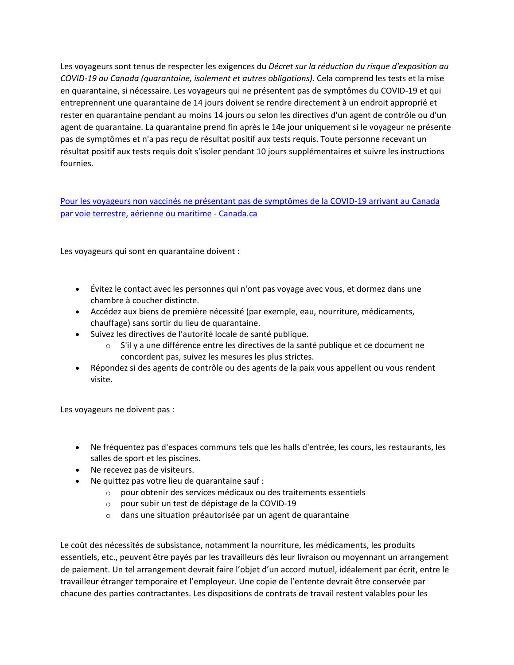Les voyageurs sont tenus de respecter les exigences du *Décret sur la réduction du risque d'exposition au COVID-19 au Canada (quarantaine, isolement et autres obligations)*. Cela comprend les tests et la mise en quarantaine, si nécessaire. Les voyageurs qui ne présentent pas de symptômes du COVID-19 et qui entreprennent une quarantaine de 14 jours doivent se rendre directement à un endroit approprié et rester en quarantaine pendant au moins 14 jours ou selon les directives d'un agent de contrôle ou d'un agent de quarantaine. La quarantaine prend fin après le 14e jour uniquement si le voyageur ne présente pas de symptômes et n'a pas reçu de résultat positif aux tests requis. Toute personne recevant un résultat positif aux tests requis doit s'isoler pendant 10 jours supplémentaires et suivre les instructions fournies.

[Pour les voyageurs non vaccinés ne présentant pas de symptômes de la COVID-19 arrivant au Canada](https://www.canada.ca/fr/sante-publique/services/publications/maladies-et-affections/2019-nouveau-coronavirus-fiche-information.html)  [par voie terrestre, aérienne ou maritime -](https://www.canada.ca/fr/sante-publique/services/publications/maladies-et-affections/2019-nouveau-coronavirus-fiche-information.html) Canada.ca

Les voyageurs qui sont en quarantaine doivent :

- Évitez le contact avec les personnes qui n'ont pas voyage avec vous, et dormez dans une chambre à coucher distincte.
- Accédez aux biens de première nécessité (par exemple, eau, nourriture, médicaments, chauffage) sans sortir du lieu de quarantaine.
- Suivez les directives de l'autorité locale de santé publique.
	- $\circ$  S'il y a une différence entre les directives de la santé publique et ce document ne concordent pas, suivez les mesures les plus strictes.
- Répondez si des agents de contrôle ou des agents de la paix vous appellent ou vous rendent visite.

Les voyageurs ne doivent pas :

- Ne fréquentez pas d'espaces communs tels que les halls d'entrée, les cours, les restaurants, les salles de sport et les piscines.
- Ne recevez pas de visiteurs.
- Ne quittez pas votre lieu de quarantaine sauf :
	- o pour obtenir des services médicaux ou des traitements essentiels
	- o pour subir un test de dépistage de la COVID-19
	- o dans une situation préautorisée par un agent de quarantaine

Le coût des nécessités de subsistance, notamment la nourriture, les médicaments, les produits essentiels, etc., peuvent être payés par les travailleurs dès leur livraison ou moyennant un arrangement de paiement. Un tel arrangement devrait faire l'objet d'un accord mutuel, idéalement par écrit, entre le travailleur étranger temporaire et l'employeur. Une copie de l'entente devrait être conservée par chacune des parties contractantes. Les dispositions de contrats de travail restent valables pour les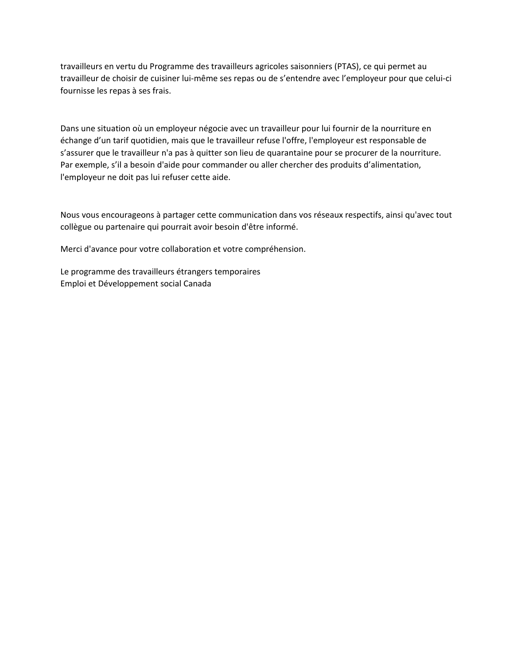travailleurs en vertu du Programme des travailleurs agricoles saisonniers (PTAS), ce qui permet au travailleur de choisir de cuisiner lui-même ses repas ou de s'entendre avec l'employeur pour que celui-ci fournisse les repas à ses frais.

Dans une situation où un employeur négocie avec un travailleur pour lui fournir de la nourriture en échange d'un tarif quotidien, mais que le travailleur refuse l'offre, l'employeur est responsable de s'assurer que le travailleur n'a pas à quitter son lieu de quarantaine pour se procurer de la nourriture. Par exemple, s'il a besoin d'aide pour commander ou aller chercher des produits d'alimentation, l'employeur ne doit pas lui refuser cette aide.

Nous vous encourageons à partager cette communication dans vos réseaux respectifs, ainsi qu'avec tout collègue ou partenaire qui pourrait avoir besoin d'être informé.

Merci d'avance pour votre collaboration et votre compréhension.

Le programme des travailleurs étrangers temporaires Emploi et Développement social Canada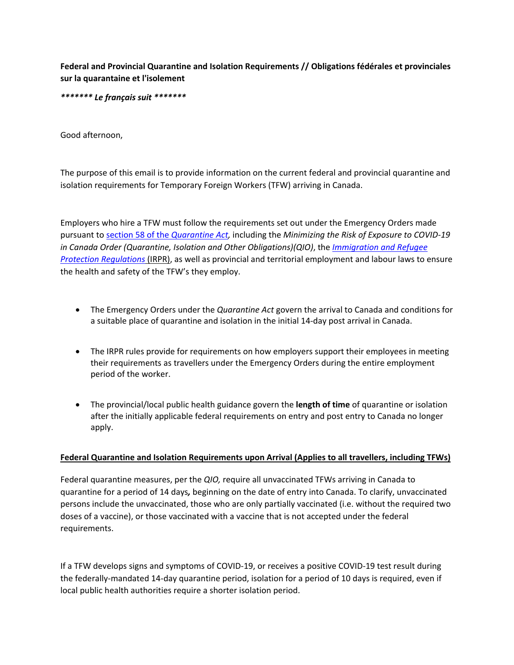**Federal and Provincial Quarantine and Isolation Requirements // Obligations fédérales et provinciales sur la quarantaine et l'isolement**

*\*\*\*\*\*\*\* Le français suit \*\*\*\*\*\*\**

Good afternoon,

The purpose of this email is to provide information on the current federal and provincial quarantine and isolation requirements for Temporary Foreign Workers (TFW) arriving in Canada.

Employers who hire a TFW must follow the requirements set out under the Emergency Orders made pursuant t[o section 58 of the](https://laws-lois.justice.gc.ca/eng/acts/q-1.1/FullText.html) *Quarantine Act,* including the *Minimizing the Risk of Exposure to COVID-19 in Canada Order (Quarantine, Isolation and Other Obligations)(QIO)*, the *[Immigration and Refugee](https://laws-lois.justice.gc.ca/PDF/SOR-2002-227.pdf)  [Protection Regulations](https://laws-lois.justice.gc.ca/PDF/SOR-2002-227.pdf)* (IRPR), as well as provincial and territorial employment and labour laws to ensure the health and safety of the TFW's they employ.

- The Emergency Orders under the *Quarantine Act* govern the arrival to Canada and conditions for a suitable place of quarantine and isolation in the initial 14-day post arrival in Canada.
- The IRPR rules provide for requirements on how employers support their employees in meeting their requirements as travellers under the Emergency Orders during the entire employment period of the worker.
- The provincial/local public health guidance govern the **length of time** of quarantine or isolation after the initially applicable federal requirements on entry and post entry to Canada no longer apply.

#### **Federal Quarantine and Isolation Requirements upon Arrival (Applies to all travellers, including TFWs)**

Federal quarantine measures, per the *QIO,* require all unvaccinated TFWs arriving in Canada to quarantine for a period of 14 days*,* beginning on the date of entry into Canada. To clarify, unvaccinated persons include the unvaccinated, those who are only partially vaccinated (i.e. without the required two doses of a vaccine), or those vaccinated with a vaccine that is not accepted under the federal requirements.

If a TFW develops signs and symptoms of COVID-19, or receives a positive COVID-19 test result during the federally-mandated 14-day quarantine period, isolation for a period of 10 days is required, even if local public health authorities require a shorter isolation period.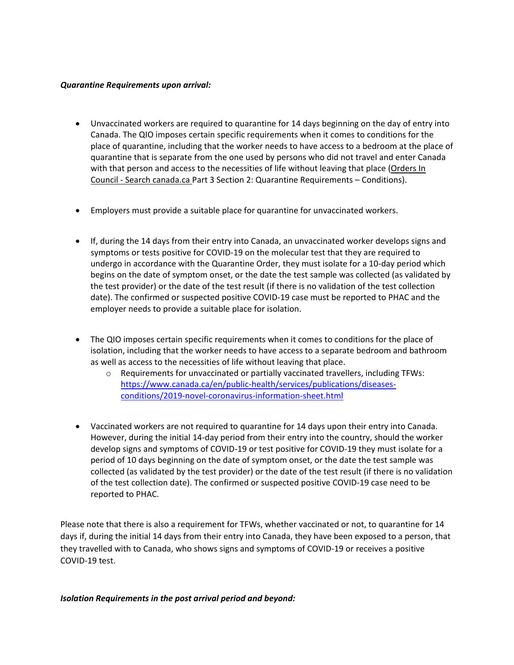#### *Quarantine Requirements upon arrival:*

- Unvaccinated workers are required to quarantine for 14 days beginning on the day of entry into Canada. The QIO imposes certain specific requirements when it comes to conditions for the place of quarantine, including that the worker needs to have access to a bedroom at the place of quarantine that is separate from the one used by persons who did not travel and enter Canada with that person and access to the necessities of life without leaving that place (Orders In Council - Search canada.ca Part 3 Section 2: Quarantine Requirements – Conditions).
- Employers must provide a suitable place for quarantine for unvaccinated workers.
- If, during the 14 days from their entry into Canada, an unvaccinated worker develops signs and symptoms or tests positive for COVID-19 on the molecular test that they are required to undergo in accordance with the Quarantine Order, they must isolate for a 10-day period which begins on the date of symptom onset, or the date the test sample was collected (as validated by the test provider) or the date of the test result (if there is no validation of the test collection date). The confirmed or suspected positive COVID-19 case must be reported to PHAC and the employer needs to provide a suitable place for isolation.
- The QIO imposes certain specific requirements when it comes to conditions for the place of isolation, including that the worker needs to have access to a separate bedroom and bathroom as well as access to the necessities of life without leaving that place.
	- o Requirements for unvaccinated or partially vaccinated travellers, including TFWs: [https://www.canada.ca/en/public-health/services/publications/diseases](https://www.canada.ca/en/public-health/services/publications/diseases-conditions/2019-novel-coronavirus-information-sheet.html)[conditions/2019-novel-coronavirus-information-sheet.html](https://www.canada.ca/en/public-health/services/publications/diseases-conditions/2019-novel-coronavirus-information-sheet.html)
- Vaccinated workers are not required to quarantine for 14 days upon their entry into Canada. However, during the initial 14-day period from their entry into the country, should the worker develop signs and symptoms of COVID-19 or test positive for COVID-19 they must isolate for a period of 10 days beginning on the date of symptom onset, or the date the test sample was collected (as validated by the test provider) or the date of the test result (if there is no validation of the test collection date). The confirmed or suspected positive COVID-19 case need to be reported to PHAC.

Please note that there is also a requirement for TFWs, whether vaccinated or not, to quarantine for 14 days if, during the initial 14 days from their entry into Canada, they have been exposed to a person, that they travelled with to Canada, who shows signs and symptoms of COVID-19 or receives a positive COVID-19 test.

*Isolation Requirements in the post arrival period and beyond:*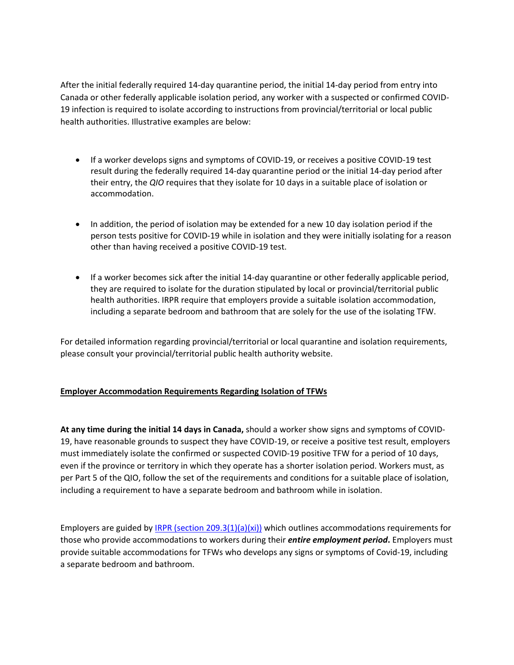After the initial federally required 14-day quarantine period, the initial 14-day period from entry into Canada or other federally applicable isolation period, any worker with a suspected or confirmed COVID-19 infection is required to isolate according to instructions from provincial/territorial or local public health authorities. Illustrative examples are below:

- If a worker develops signs and symptoms of COVID-19, or receives a positive COVID-19 test result during the federally required 14-day quarantine period or the initial 14-day period after their entry, the *QIO* requires that they isolate for 10 days in a suitable place of isolation or accommodation.
- In addition, the period of isolation may be extended for a new 10 day isolation period if the person tests positive for COVID-19 while in isolation and they were initially isolating for a reason other than having received a positive COVID-19 test.
- If a worker becomes sick after the initial 14-day quarantine or other federally applicable period, they are required to isolate for the duration stipulated by local or provincial/territorial public health authorities. IRPR require that employers provide a suitable isolation accommodation, including a separate bedroom and bathroom that are solely for the use of the isolating TFW.

For detailed information regarding provincial/territorial or local quarantine and isolation requirements, please consult your provincial/territorial public health authority website.

#### **Employer Accommodation Requirements Regarding Isolation of TFWs**

**At any time during the initial 14 days in Canada,** should a worker show signs and symptoms of COVID-19, have reasonable grounds to suspect they have COVID-19, or receive a positive test result, employers must immediately isolate the confirmed or suspected COVID-19 positive TFW for a period of 10 days, even if the province or territory in which they operate has a shorter isolation period. Workers must, as per Part 5 of the QIO, follow the set of the requirements and conditions for a suitable place of isolation, including a requirement to have a separate bedroom and bathroom while in isolation.

Employers are guided b[y IRPR \(section 209.3\(1\)\(a\)\(xi\)\)](https://www.laws-lois.justice.gc.ca/eng/regulations/SOR-2002-227/section-209.3.html) which outlines accommodations requirements for those who provide accommodations to workers during their *entire employment period***.** Employers must provide suitable accommodations for TFWs who develops any signs or symptoms of Covid-19, including a separate bedroom and bathroom.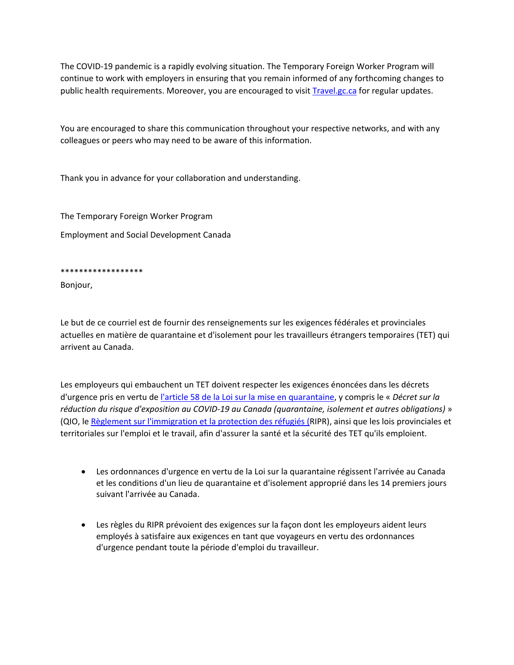The COVID-19 pandemic is a rapidly evolving situation. The Temporary Foreign Worker Program will continue to work with employers in ensuring that you remain informed of any forthcoming changes to public health requirements. Moreover, you are encouraged to visit **Travel.gc.ca** for regular updates.

You are encouraged to share this communication throughout your respective networks, and with any colleagues or peers who may need to be aware of this information.

Thank you in advance for your collaboration and understanding.

The Temporary Foreign Worker Program

Employment and Social Development Canada

\*\*\*\*\*\*\*\*\*\*\*\*\*\*\*\*\*\*

Bonjour,

Le but de ce courriel est de fournir des renseignements sur les exigences fédérales et provinciales actuelles en matière de quarantaine et d'isolement pour les travailleurs étrangers temporaires (TET) qui arrivent au Canada.

Les employeurs qui embauchent un TET doivent respecter les exigences énoncées dans les décrets d'urgence pris en vertu de [l'article 58 de la Loi sur la mise en quarantaine,](https://laws-lois.justice.gc.ca/fra/lois/q-1.1/index.html) y compris le « *Décret sur la réduction du risque d'exposition au COVID-19 au Canada (quarantaine, isolement et autres obligations)* » (QIO, le [Règlement sur l'immigration et la protection des réfugiés \(R](https://laws-lois.justice.gc.ca/PDF/SOR-2002-227.pdf)IPR), ainsi que les lois provinciales et territoriales sur l'emploi et le travail, afin d'assurer la santé et la sécurité des TET qu'ils emploient.

- Les ordonnances d'urgence en vertu de la Loi sur la quarantaine régissent l'arrivée au Canada et les conditions d'un lieu de quarantaine et d'isolement approprié dans les 14 premiers jours suivant l'arrivée au Canada.
- Les règles du RIPR prévoient des exigences sur la façon dont les employeurs aident leurs employés à satisfaire aux exigences en tant que voyageurs en vertu des ordonnances d'urgence pendant toute la période d'emploi du travailleur.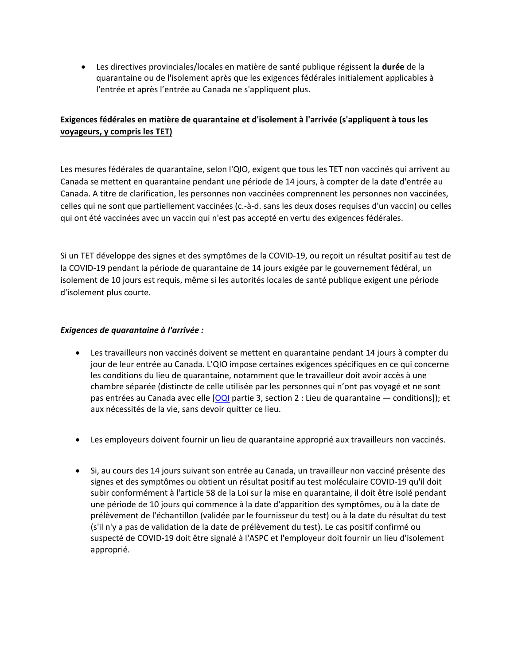• Les directives provinciales/locales en matière de santé publique régissent la **durée** de la quarantaine ou de l'isolement après que les exigences fédérales initialement applicables à l'entrée et après l'entrée au Canada ne s'appliquent plus.

## **Exigences fédérales en matière de quarantaine et d'isolement à l'arrivée (s'appliquent à tous les voyageurs, y compris les TET)**

Les mesures fédérales de quarantaine, selon l'QIO, exigent que tous les TET non vaccinés qui arrivent au Canada se mettent en quarantaine pendant une période de 14 jours, à compter de la date d'entrée au Canada. A titre de clarification, les personnes non vaccinées comprennent les personnes non vaccinées, celles qui ne sont que partiellement vaccinées (c.-à-d. sans les deux doses requises d'un vaccin) ou celles qui ont été vaccinées avec un vaccin qui n'est pas accepté en vertu des exigences fédérales.

Si un TET développe des signes et des symptômes de la COVID-19, ou reçoit un résultat positif au test de la COVID-19 pendant la période de quarantaine de 14 jours exigée par le gouvernement fédéral, un isolement de 10 jours est requis, même si les autorités locales de santé publique exigent une période d'isolement plus courte.

#### *Exigences de quarantaine à l'arrivée :*

- Les travailleurs non vaccinés doivent se mettent en quarantaine pendant 14 jours à compter du jour de leur entrée au Canada. L'QIO impose certaines exigences spécifiques en ce qui concerne les conditions du lieu de quarantaine, notamment que le travailleur doit avoir accès à une chambre séparée (distincte de celle utilisée par les personnes qui n'ont pas voyagé et ne sont pas entrées au Canada avec elle [\[OQI](https://decrets.canada.ca/attachment.php?attach=41627&lang=fr) partie 3, section 2 : Lieu de quarantaine — conditions]); et aux nécessités de la vie, sans devoir quitter ce lieu.
- Les employeurs doivent fournir un lieu de quarantaine approprié aux travailleurs non vaccinés.
- Si, au cours des 14 jours suivant son entrée au Canada, un travailleur non vacciné présente des signes et des symptômes ou obtient un résultat positif au test moléculaire COVID-19 qu'il doit subir conformément à l'article 58 de la Loi sur la mise en quarantaine, il doit être isolé pendant une période de 10 jours qui commence à la date d'apparition des symptômes, ou à la date de prélèvement de l'échantillon (validée par le fournisseur du test) ou à la date du résultat du test (s'il n'y a pas de validation de la date de prélèvement du test). Le cas positif confirmé ou suspecté de COVID-19 doit être signalé à l'ASPC et l'employeur doit fournir un lieu d'isolement approprié.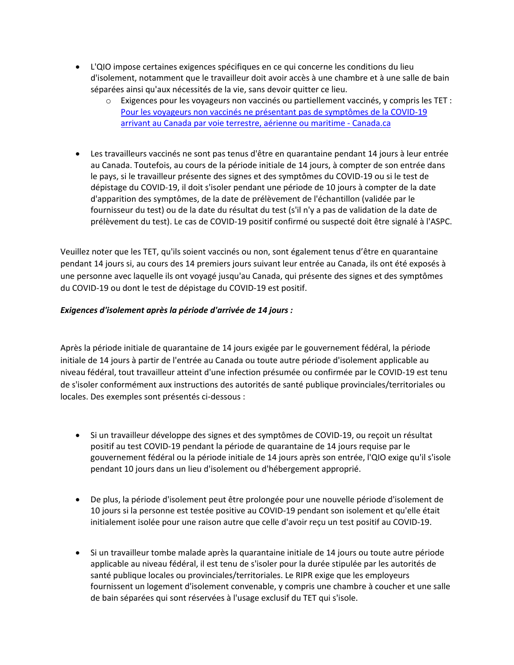- L'QIO impose certaines exigences spécifiques en ce qui concerne les conditions du lieu d'isolement, notamment que le travailleur doit avoir accès à une chambre et à une salle de bain séparées ainsi qu'aux nécessités de la vie, sans devoir quitter ce lieu.
	- $\circ$  Exigences pour les voyageurs non vaccinés ou partiellement vaccinés, y compris les TET : [Pour les voyageurs non vaccinés ne présentant pas de symptômes de la COVID-19](https://www.canada.ca/fr/sante-publique/services/publications/maladies-et-affections/2019-nouveau-coronavirus-fiche-information.html)  [arrivant au Canada par voie terrestre, aérienne ou maritime -](https://www.canada.ca/fr/sante-publique/services/publications/maladies-et-affections/2019-nouveau-coronavirus-fiche-information.html) Canada.ca
- Les travailleurs vaccinés ne sont pas tenus d'être en quarantaine pendant 14 jours à leur entrée au Canada. Toutefois, au cours de la période initiale de 14 jours, à compter de son entrée dans le pays, si le travailleur présente des signes et des symptômes du COVID-19 ou si le test de dépistage du COVID-19, il doit s'isoler pendant une période de 10 jours à compter de la date d'apparition des symptômes, de la date de prélèvement de l'échantillon (validée par le fournisseur du test) ou de la date du résultat du test (s'il n'y a pas de validation de la date de prélèvement du test). Le cas de COVID-19 positif confirmé ou suspecté doit être signalé à l'ASPC.

Veuillez noter que les TET, qu'ils soient vaccinés ou non, sont également tenus d'être en quarantaine pendant 14 jours si, au cours des 14 premiers jours suivant leur entrée au Canada, ils ont été exposés à une personne avec laquelle ils ont voyagé jusqu'au Canada, qui présente des signes et des symptômes du COVID-19 ou dont le test de dépistage du COVID-19 est positif.

#### *Exigences d'isolement après la période d'arrivée de 14 jours :*

Après la période initiale de quarantaine de 14 jours exigée par le gouvernement fédéral, la période initiale de 14 jours à partir de l'entrée au Canada ou toute autre période d'isolement applicable au niveau fédéral, tout travailleur atteint d'une infection présumée ou confirmée par le COVID-19 est tenu de s'isoler conformément aux instructions des autorités de santé publique provinciales/territoriales ou locales. Des exemples sont présentés ci-dessous :

- Si un travailleur développe des signes et des symptômes de COVID-19, ou reçoit un résultat positif au test COVID-19 pendant la période de quarantaine de 14 jours requise par le gouvernement fédéral ou la période initiale de 14 jours après son entrée, l'QIO exige qu'il s'isole pendant 10 jours dans un lieu d'isolement ou d'hébergement approprié.
- De plus, la période d'isolement peut être prolongée pour une nouvelle période d'isolement de 10 jours si la personne est testée positive au COVID-19 pendant son isolement et qu'elle était initialement isolée pour une raison autre que celle d'avoir reçu un test positif au COVID-19.
- Si un travailleur tombe malade après la quarantaine initiale de 14 jours ou toute autre période applicable au niveau fédéral, il est tenu de s'isoler pour la durée stipulée par les autorités de santé publique locales ou provinciales/territoriales. Le RIPR exige que les employeurs fournissent un logement d'isolement convenable, y compris une chambre à coucher et une salle de bain séparées qui sont réservées à l'usage exclusif du TET qui s'isole.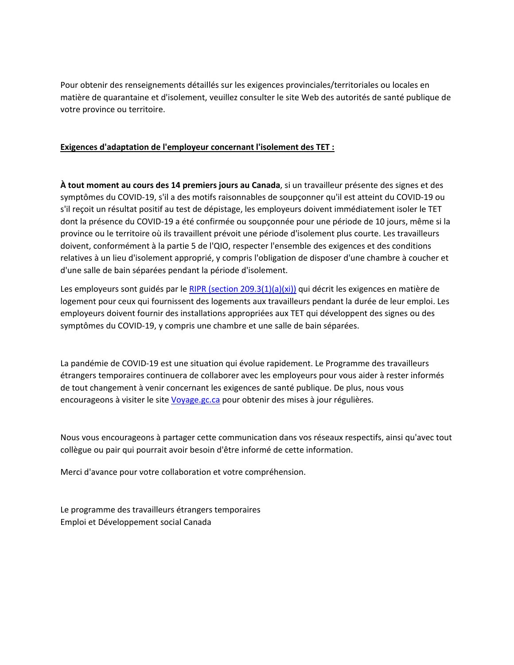Pour obtenir des renseignements détaillés sur les exigences provinciales/territoriales ou locales en matière de quarantaine et d'isolement, veuillez consulter le site Web des autorités de santé publique de votre province ou territoire.

#### **Exigences d'adaptation de l'employeur concernant l'isolement des TET :**

**À tout moment au cours des 14 premiers jours au Canada**, si un travailleur présente des signes et des symptômes du COVID-19, s'il a des motifs raisonnables de soupçonner qu'il est atteint du COVID-19 ou s'il reçoit un résultat positif au test de dépistage, les employeurs doivent immédiatement isoler le TET dont la présence du COVID-19 a été confirmée ou soupçonnée pour une période de 10 jours, même si la province ou le territoire où ils travaillent prévoit une période d'isolement plus courte. Les travailleurs doivent, conformément à la partie 5 de l'QIO, respecter l'ensemble des exigences et des conditions relatives à un lieu d'isolement approprié, y compris l'obligation de disposer d'une chambre à coucher et d'une salle de bain séparées pendant la période d'isolement.

Les employeurs sont guidés par le [RIPR \(section 209.3\(1\)\(a\)\(xi\)\)](https://www.laws-lois.justice.gc.ca/fra/reglements/DORS-2002-227/section-209.3.html) qui décrit les exigences en matière de logement pour ceux qui fournissent des logements aux travailleurs pendant la durée de leur emploi. Les employeurs doivent fournir des installations appropriées aux TET qui développent des signes ou des symptômes du COVID-19, y compris une chambre et une salle de bain séparées.

La pandémie de COVID-19 est une situation qui évolue rapidement. Le Programme des travailleurs étrangers temporaires continuera de collaborer avec les employeurs pour vous aider à rester informés de tout changement à venir concernant les exigences de santé publique. De plus, nous vous encourageons à visiter le site [Voyage.gc.ca](https://voyage.gc.ca/) pour obtenir des mises à jour régulières.

Nous vous encourageons à partager cette communication dans vos réseaux respectifs, ainsi qu'avec tout collègue ou pair qui pourrait avoir besoin d'être informé de cette information.

Merci d'avance pour votre collaboration et votre compréhension.

Le programme des travailleurs étrangers temporaires Emploi et Développement social Canada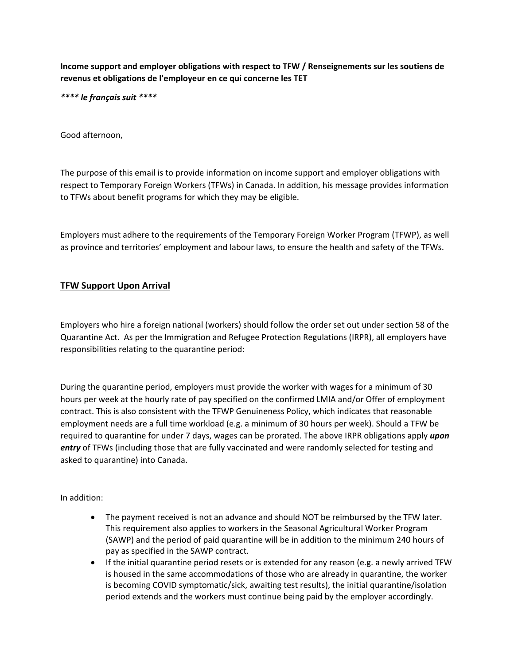**Income support and employer obligations with respect to TFW / Renseignements sur les soutiens de revenus et obligations de l'employeur en ce qui concerne les TET**

*\*\*\*\* le français suit \*\*\*\**

Good afternoon,

The purpose of this email is to provide information on income support and employer obligations with respect to Temporary Foreign Workers (TFWs) in Canada. In addition, his message provides information to TFWs about benefit programs for which they may be eligible.

Employers must adhere to the requirements of the Temporary Foreign Worker Program (TFWP), as well as province and territories' employment and labour laws, to ensure the health and safety of the TFWs.

#### **TFW Support Upon Arrival**

Employers who hire a foreign national (workers) should follow the order set out under section 58 of the Quarantine Act. As per the Immigration and Refugee Protection Regulations (IRPR), all employers have responsibilities relating to the quarantine period:

During the quarantine period, employers must provide the worker with wages for a minimum of 30 hours per week at the hourly rate of pay specified on the confirmed LMIA and/or Offer of employment contract. This is also consistent with the TFWP Genuineness Policy, which indicates that reasonable employment needs are a full time workload (e.g. a minimum of 30 hours per week). Should a TFW be required to quarantine for under 7 days, wages can be prorated. The above IRPR obligations apply *upon entry* of TFWs (including those that are fully vaccinated and were randomly selected for testing and asked to quarantine) into Canada.

In addition:

- The payment received is not an advance and should NOT be reimbursed by the TFW later. This requirement also applies to workers in the Seasonal Agricultural Worker Program (SAWP) and the period of paid quarantine will be in addition to the minimum 240 hours of pay as specified in the SAWP contract.
- If the initial quarantine period resets or is extended for any reason (e.g. a newly arrived TFW is housed in the same accommodations of those who are already in quarantine, the worker is becoming COVID symptomatic/sick, awaiting test results), the initial quarantine/isolation period extends and the workers must continue being paid by the employer accordingly.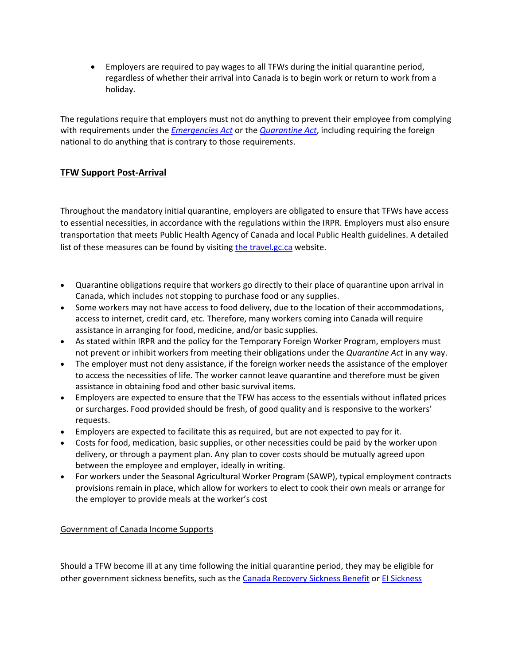• Employers are required to pay wages to all TFWs during the initial quarantine period, regardless of whether their arrival into Canada is to begin work or return to work from a holiday.

The regulations require that employers must not do anything to prevent their employee from complying with requirements under the *[Emergencies Act](https://laws-lois.justice.gc.ca/eng/acts/e-4.5/index.html)* or the *[Quarantine Act](https://laws-lois.justice.gc.ca/eng/acts/q-1.1/page-1.html)*, including requiring the foreign national to do anything that is contrary to those requirements.

## **TFW Support Post-Arrival**

Throughout the mandatory initial quarantine, employers are obligated to ensure that TFWs have access to essential necessities, in accordance with the regulations within the IRPR. Employers must also ensure transportation that meets Public Health Agency of Canada and local Public Health guidelines. A detailed list of [the](https://travel.gc.ca/travel-covid/travel-restrictions/isolation#quarantine)se measures can be found by visiting the [travel.gc.ca](https://travel.gc.ca/travel-covid/travel-restrictions/isolation#quarantine) website.

- Quarantine obligations require that workers go directly to their place of quarantine upon arrival in Canada, which includes not stopping to purchase food or any supplies.
- Some workers may not have access to food delivery, due to the location of their accommodations, access to internet, credit card, etc. Therefore, many workers coming into Canada will require assistance in arranging for food, medicine, and/or basic supplies.
- As stated within IRPR and the policy for the Temporary Foreign Worker Program, employers must not prevent or inhibit workers from meeting their obligations under the *Quarantine Act* in any way.
- The employer must not deny assistance, if the foreign worker needs the assistance of the employer to access the necessities of life. The worker cannot leave quarantine and therefore must be given assistance in obtaining food and other basic survival items.
- Employers are expected to ensure that the TFW has access to the essentials without inflated prices or surcharges. Food provided should be fresh, of good quality and is responsive to the workers' requests.
- Employers are expected to facilitate this as required, but are not expected to pay for it.
- Costs for food, medication, basic supplies, or other necessities could be paid by the worker upon delivery, or through a payment plan. Any plan to cover costs should be mutually agreed upon between the employee and employer, ideally in writing.
- For workers under the Seasonal Agricultural Worker Program (SAWP), typical employment contracts provisions remain in place, which allow for workers to elect to cook their own meals or arrange for the employer to provide meals at the worker's cost

Government of Canada Income Supports

Should a TFW become ill at any time following the initial quarantine period, they may be eligible for other government sickness benefits, such as the [Canada Recovery Sickness Benefit](https://www.canada.ca/en/revenue-agency/services/benefits/recovery-sickness-benefit.html) or [EI Sickness](https://www.canada.ca/en/services/benefits/ei/ei-sickness.html)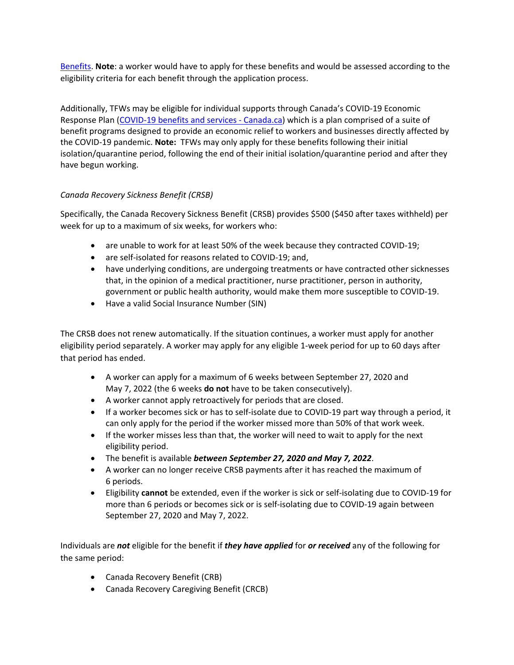[Benefits.](https://www.canada.ca/en/services/benefits/ei/ei-sickness.html) **Note**: a worker would have to apply for these benefits and would be assessed according to the eligibility criteria for each benefit through the application process.

Additionally, TFWs may be eligible for individual supports through Canada's COVID-19 Economic Response Plan [\(COVID-19 benefits and services -](https://www.canada.ca/en/services/benefits/covid19-emergency-benefits.html) Canada.ca) which is a plan comprised of a suite of benefit programs designed to provide an economic relief to workers and businesses directly affected by the COVID-19 pandemic. **Note:** TFWs may only apply for these benefits following their initial isolation/quarantine period, following the end of their initial isolation/quarantine period and after they have begun working.

## *Canada Recovery Sickness Benefit (CRSB)*

Specifically, the Canada Recovery Sickness Benefit (CRSB) provides \$500 (\$450 after taxes withheld) per week for up to a maximum of six weeks, for workers who:

- are unable to work for at least 50% of the week because they contracted COVID-19;
- are self-isolated for reasons related to COVID-19; and,
- have underlying conditions, are undergoing treatments or have contracted other sicknesses that, in the opinion of a medical practitioner, nurse practitioner, person in authority, government or public health authority, would make them more susceptible to COVID-19.
- Have a valid Social Insurance Number (SIN)

The CRSB does not renew automatically. If the situation continues, a worker must apply for another eligibility period separately. A worker may apply for any eligible 1-week period for up to 60 days after that period has ended.

- A worker can apply for a maximum of 6 weeks between September 27, 2020 and May 7, 2022 (the 6 weeks **do not** have to be taken consecutively).
- A worker cannot apply retroactively for periods that are closed.
- If a worker becomes sick or has to self-isolate due to COVID-19 part way through a period, it can only apply for the period if the worker missed more than 50% of that work week.
- If the worker misses less than that, the worker will need to wait to apply for the next eligibility period.
- The benefit is available *between September 27, 2020 and May 7, 2022*.
- A worker can no longer receive CRSB payments after it has reached the maximum of 6 periods.
- Eligibility **cannot** be extended, even if the worker is sick or self-isolating due to COVID-19 for more than 6 periods or becomes sick or is self-isolating due to COVID-19 again between September 27, 2020 and May 7, 2022.

Individuals are *not* eligible for the benefit if *they have applied* for *or received* any of the following for the same period:

- Canada Recovery Benefit (CRB)
- Canada Recovery Caregiving Benefit (CRCB)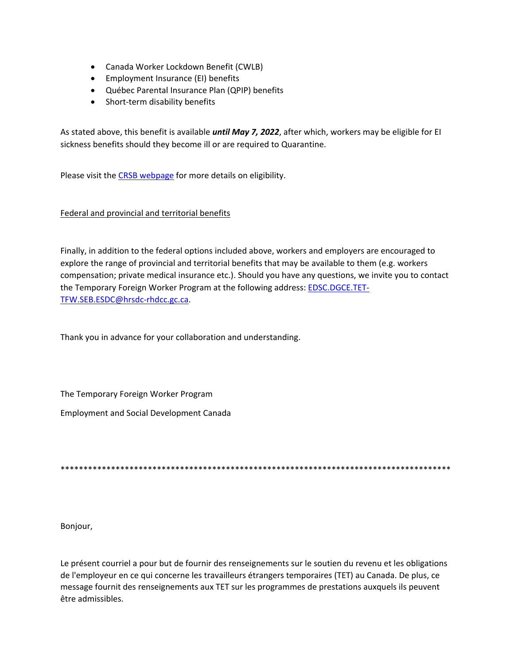- Canada Worker Lockdown Benefit (CWLB)
- Employment Insurance (EI) benefits
- Québec Parental Insurance Plan (QPIP) benefits
- Short-term disability benefits

As stated above, this benefit is available *until May 7, 2022*, after which, workers may be eligible for EI sickness benefits should they become ill or are required to Quarantine.

Please visit the [CRSB webpage](https://www.canada.ca/en/revenue-agency/services/benefits/recovery-sickness-benefit/crsb-who-apply.html) for more details on eligibility.

#### Federal and provincial and territorial benefits

Finally, in addition to the federal options included above, workers and employers are encouraged to explore the range of provincial and territorial benefits that may be available to them (e.g. workers compensation; private medical insurance etc.). Should you have any questions, we invite you to contact the Temporary Foreign Worker Program at the following address: EDSC.DGCE.TET-TFW.SEB.ESDC@hrsdc-rhdcc.gc.ca.

Thank you in advance for your collaboration and understanding.

The Temporary Foreign Worker Program Employment and Social Development Canada

\*\*\*\*\*\*\*\*\*\*\*\*\*\*\*\*\*\*\*\*\*\*\*\*\*\*\*\*\*\*\*\*\*\*\*\*\*\*\*\*\*\*\*\*\*\*\*\*\*\*\*\*\*\*\*\*\*\*\*\*\*\*\*\*\*\*\*\*\*\*\*\*\*\*\*\*\*\*\*\*\*\*\*\*\*

Bonjour,

Le présent courriel a pour but de fournir des renseignements sur le soutien du revenu et les obligations de l'employeur en ce qui concerne les travailleurs étrangers temporaires (TET) au Canada. De plus, ce message fournit des renseignements aux TET sur les programmes de prestations auxquels ils peuvent être admissibles.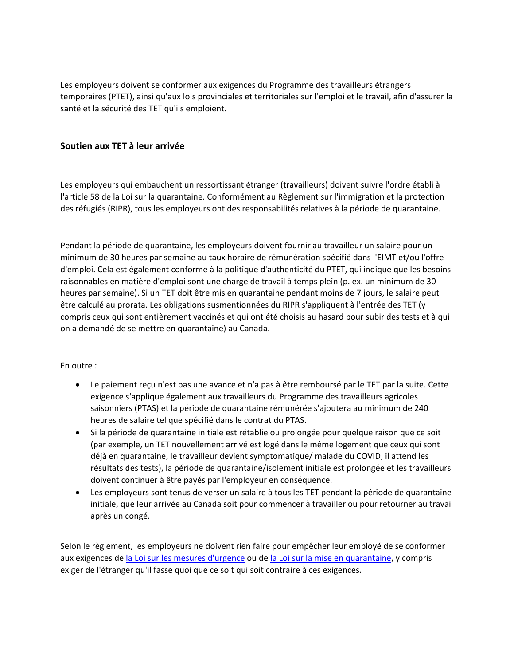Les employeurs doivent se conformer aux exigences du Programme des travailleurs étrangers temporaires (PTET), ainsi qu'aux lois provinciales et territoriales sur l'emploi et le travail, afin d'assurer la santé et la sécurité des TET qu'ils emploient.

## **Soutien aux TET à leur arrivée**

Les employeurs qui embauchent un ressortissant étranger (travailleurs) doivent suivre l'ordre établi à l'article 58 de la Loi sur la quarantaine. Conformément au Règlement sur l'immigration et la protection des réfugiés (RIPR), tous les employeurs ont des responsabilités relatives à la période de quarantaine.

Pendant la période de quarantaine, les employeurs doivent fournir au travailleur un salaire pour un minimum de 30 heures par semaine au taux horaire de rémunération spécifié dans l'EIMT et/ou l'offre d'emploi. Cela est également conforme à la politique d'authenticité du PTET, qui indique que les besoins raisonnables en matière d'emploi sont une charge de travail à temps plein (p. ex. un minimum de 30 heures par semaine). Si un TET doit être mis en quarantaine pendant moins de 7 jours, le salaire peut être calculé au prorata. Les obligations susmentionnées du RIPR s'appliquent à l'entrée des TET (y compris ceux qui sont entièrement vaccinés et qui ont été choisis au hasard pour subir des tests et à qui on a demandé de se mettre en quarantaine) au Canada.

#### En outre :

- Le paiement reçu n'est pas une avance et n'a pas à être remboursé par le TET par la suite. Cette exigence s'applique également aux travailleurs du Programme des travailleurs agricoles saisonniers (PTAS) et la période de quarantaine rémunérée s'ajoutera au minimum de 240 heures de salaire tel que spécifié dans le contrat du PTAS.
- Si la période de quarantaine initiale est rétablie ou prolongée pour quelque raison que ce soit (par exemple, un TET nouvellement arrivé est logé dans le même logement que ceux qui sont déjà en quarantaine, le travailleur devient symptomatique/ malade du COVID, il attend les résultats des tests), la période de quarantaine/isolement initiale est prolongée et les travailleurs doivent continuer à être payés par l'employeur en conséquence.
- Les employeurs sont tenus de verser un salaire à tous les TET pendant la période de quarantaine initiale, que leur arrivée au Canada soit pour commencer à travailler ou pour retourner au travail après un congé.

Selon le règlement, les employeurs ne doivent rien faire pour empêcher leur employé de se conformer aux exigences de [la Loi sur les mesures d'urgence](https://laws-lois.justice.gc.ca/fra/lois/e-4.5/index.html) ou de [la Loi sur la mise en quarantaine,](https://laws-lois.justice.gc.ca/fra/lois/q-1.1/index.html) y compris exiger de l'étranger qu'il fasse quoi que ce soit qui soit contraire à ces exigences.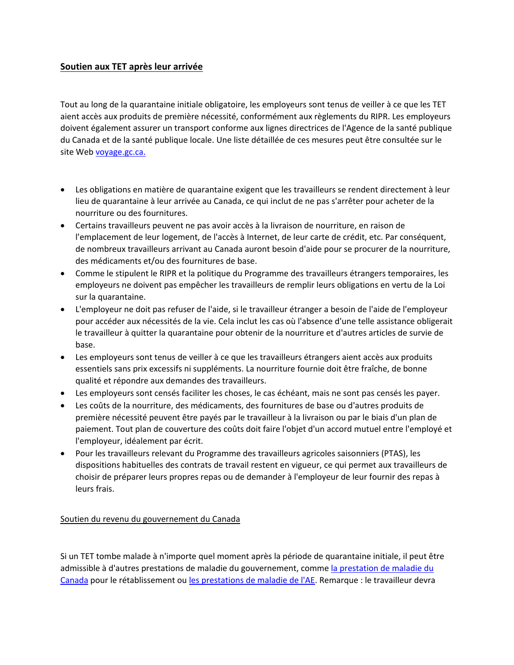## **Soutien aux TET après leur arrivée**

Tout au long de la quarantaine initiale obligatoire, les employeurs sont tenus de veiller à ce que les TET aient accès aux produits de première nécessité, conformément aux règlements du RIPR. Les employeurs doivent également assurer un transport conforme aux lignes directrices de l'Agence de la santé publique du Canada et de la santé publique locale. Une liste détaillée de ces mesures peut être consultée sur le site Web [voyage.gc.ca.](https://voyage.gc.ca/voyage-covid/voyage-restrictions/isolement?_ga=2.191872618.11906525.1643388261-544951783.1640296645)

- Les obligations en matière de quarantaine exigent que les travailleurs se rendent directement à leur lieu de quarantaine à leur arrivée au Canada, ce qui inclut de ne pas s'arrêter pour acheter de la nourriture ou des fournitures.
- Certains travailleurs peuvent ne pas avoir accès à la livraison de nourriture, en raison de l'emplacement de leur logement, de l'accès à Internet, de leur carte de crédit, etc. Par conséquent, de nombreux travailleurs arrivant au Canada auront besoin d'aide pour se procurer de la nourriture, des médicaments et/ou des fournitures de base.
- Comme le stipulent le RIPR et la politique du Programme des travailleurs étrangers temporaires, les employeurs ne doivent pas empêcher les travailleurs de remplir leurs obligations en vertu de la Loi sur la quarantaine.
- L'employeur ne doit pas refuser de l'aide, si le travailleur étranger a besoin de l'aide de l'employeur pour accéder aux nécessités de la vie. Cela inclut les cas où l'absence d'une telle assistance obligerait le travailleur à quitter la quarantaine pour obtenir de la nourriture et d'autres articles de survie de base.
- Les employeurs sont tenus de veiller à ce que les travailleurs étrangers aient accès aux produits essentiels sans prix excessifs ni suppléments. La nourriture fournie doit être fraîche, de bonne qualité et répondre aux demandes des travailleurs.
- Les employeurs sont censés faciliter les choses, le cas échéant, mais ne sont pas censés les payer.
- Les coûts de la nourriture, des médicaments, des fournitures de base ou d'autres produits de première nécessité peuvent être payés par le travailleur à la livraison ou par le biais d'un plan de paiement. Tout plan de couverture des coûts doit faire l'objet d'un accord mutuel entre l'employé et l'employeur, idéalement par écrit.
- Pour les travailleurs relevant du Programme des travailleurs agricoles saisonniers (PTAS), les dispositions habituelles des contrats de travail restent en vigueur, ce qui permet aux travailleurs de choisir de préparer leurs propres repas ou de demander à l'employeur de leur fournir des repas à leurs frais.

## Soutien du revenu du gouvernement du Canada

Si un TET tombe malade à n'importe quel moment après la période de quarantaine initiale, il peut être admissible à d'autres prestations de maladie du gouvernement, comme la prestation de maladie du [Canada](https://www.canada.ca/fr/agence-revenu/services/prestations/prestation-maladie-relance-economique.html) pour le rétablissement ou [les prestations de maladie de l'AE.](https://www.canada.ca/fr/services/prestations/ae/assurance-emploi-maladie.html) Remarque : le travailleur devra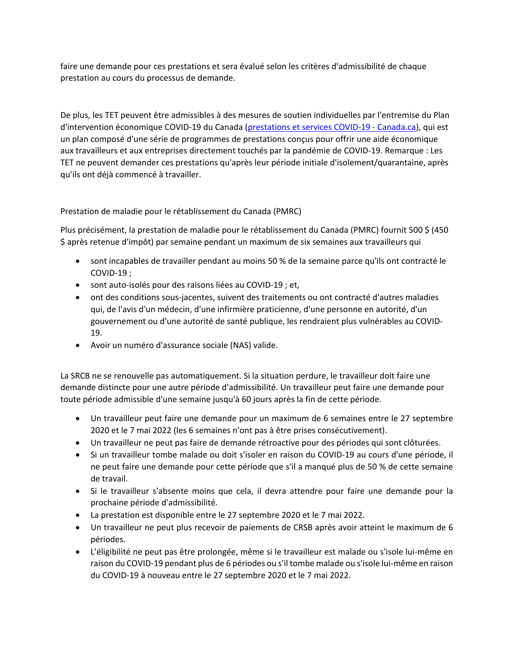faire une demande pour ces prestations et sera évalué selon les critères d'admissibilité de chaque prestation au cours du processus de demande.

De plus, les TET peuvent être admissibles à des mesures de soutien individuelles par l'entremise du Plan d'intervention économique COVID-19 du Canada [\(prestations et services COVID-19 -](https://www.canada.ca/fr/ministere-finances/plan-intervention-economique.html) Canada.ca), qui est un plan composé d'une série de programmes de prestations conçus pour offrir une aide économique aux travailleurs et aux entreprises directement touchés par la pandémie de COVID-19. Remarque : Les TET ne peuvent demander ces prestations qu'après leur période initiale d'isolement/quarantaine, après qu'ils ont déjà commencé à travailler.

Prestation de maladie pour le rétablissement du Canada (PMRC)

Plus précisément, la prestation de maladie pour le rétablissement du Canada (PMRC) fournit 500 \$ (450 \$ après retenue d'impôt) par semaine pendant un maximum de six semaines aux travailleurs qui

- sont incapables de travailler pendant au moins 50 % de la semaine parce qu'ils ont contracté le COVID-19 ;
- sont auto-isolés pour des raisons liées au COVID-19 ; et,
- ont des conditions sous-jacentes, suivent des traitements ou ont contracté d'autres maladies qui, de l'avis d'un médecin, d'une infirmière praticienne, d'une personne en autorité, d'un gouvernement ou d'une autorité de santé publique, les rendraient plus vulnérables au COVID-19.
- Avoir un numéro d'assurance sociale (NAS) valide.

La SRCB ne se renouvelle pas automatiquement. Si la situation perdure, le travailleur doit faire une demande distincte pour une autre période d'admissibilité. Un travailleur peut faire une demande pour toute période admissible d'une semaine jusqu'à 60 jours après la fin de cette période.

- Un travailleur peut faire une demande pour un maximum de 6 semaines entre le 27 septembre 2020 et le 7 mai 2022 (les 6 semaines n'ont pas à être prises consécutivement).
- Un travailleur ne peut pas faire de demande rétroactive pour des périodes qui sont clôturées.
- Si un travailleur tombe malade ou doit s'isoler en raison du COVID-19 au cours d'une période, il ne peut faire une demande pour cette période que s'il a manqué plus de 50 % de cette semaine de travail.
- Si le travailleur s'absente moins que cela, il devra attendre pour faire une demande pour la prochaine période d'admissibilité.
- La prestation est disponible entre le 27 septembre 2020 et le 7 mai 2022.
- Un travailleur ne peut plus recevoir de paiements de CRSB après avoir atteint le maximum de 6 périodes.
- L'éligibilité ne peut pas être prolongée, même si le travailleur est malade ou s'isole lui-même en raison du COVID-19 pendant plus de 6 périodes ou s'il tombe malade ou s'isole lui-même en raison du COVID-19 à nouveau entre le 27 septembre 2020 et le 7 mai 2022.